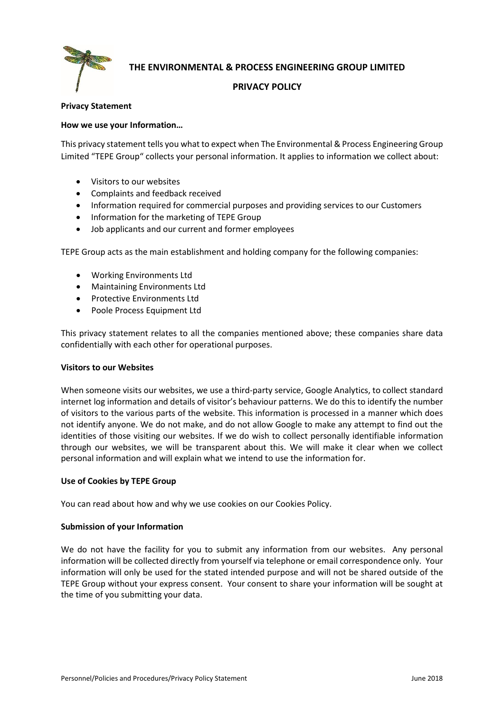

**THE ENVIRONMENTAL & PROCESS ENGINEERING GROUP LIMITED**

# **PRIVACY POLICY**

# **Privacy Statement**

# **How we use your Information…**

This privacy statement tells you what to expect when The Environmental & Process Engineering Group Limited "TEPE Group" collects your personal information. It applies to information we collect about:

- Visitors to our websites
- Complaints and feedback received
- Information required for commercial purposes and providing services to our Customers
- Information for the marketing of TEPE Group
- Job applicants and our current and former employees

TEPE Group acts as the main establishment and holding company for the following companies:

- Working Environments Ltd
- Maintaining Environments Ltd
- Protective Environments Ltd
- Poole Process Equipment Ltd

This privacy statement relates to all the companies mentioned above; these companies share data confidentially with each other for operational purposes.

# **Visitors to our Websites**

When someone visits our websites, we use a third-party service, Google Analytics, to collect standard internet log information and details of visitor's behaviour patterns. We do this to identify the number of visitors to the various parts of the website. This information is processed in a manner which does not identify anyone. We do not make, and do not allow Google to make any attempt to find out the identities of those visiting our websites. If we do wish to collect personally identifiable information through our websites, we will be transparent about this. We will make it clear when we collect personal information and will explain what we intend to use the information for.

# **Use of Cookies by TEPE Group**

You can read about how and why we use cookies on our Cookies Policy.

# **Submission of your Information**

We do not have the facility for you to submit any information from our websites. Any personal information will be collected directly from yourself via telephone or email correspondence only. Your information will only be used for the stated intended purpose and will not be shared outside of the TEPE Group without your express consent. Your consent to share your information will be sought at the time of you submitting your data.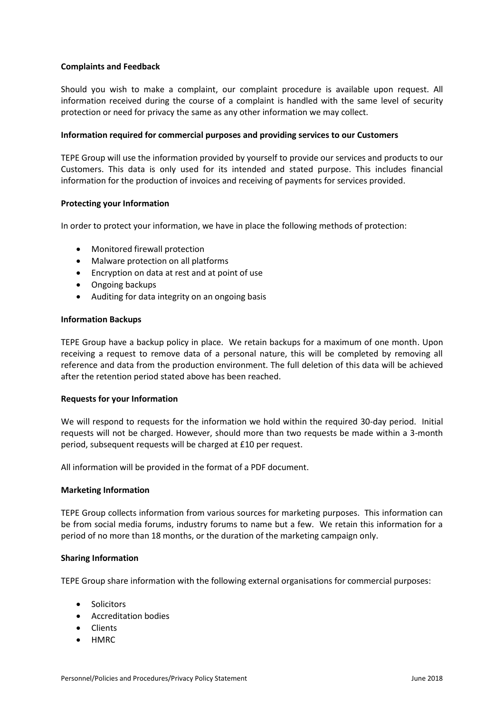# **Complaints and Feedback**

Should you wish to make a complaint, our complaint procedure is available upon request. All information received during the course of a complaint is handled with the same level of security protection or need for privacy the same as any other information we may collect.

### **Information required for commercial purposes and providing services to our Customers**

TEPE Group will use the information provided by yourself to provide our services and products to our Customers. This data is only used for its intended and stated purpose. This includes financial information for the production of invoices and receiving of payments for services provided.

### **Protecting your Information**

In order to protect your information, we have in place the following methods of protection:

- Monitored firewall protection
- Malware protection on all platforms
- Encryption on data at rest and at point of use
- Ongoing backups
- Auditing for data integrity on an ongoing basis

### **Information Backups**

TEPE Group have a backup policy in place. We retain backups for a maximum of one month. Upon receiving a request to remove data of a personal nature, this will be completed by removing all reference and data from the production environment. The full deletion of this data will be achieved after the retention period stated above has been reached.

# **Requests for your Information**

We will respond to requests for the information we hold within the required 30-day period. Initial requests will not be charged. However, should more than two requests be made within a 3-month period, subsequent requests will be charged at £10 per request.

All information will be provided in the format of a PDF document.

#### **Marketing Information**

TEPE Group collects information from various sources for marketing purposes. This information can be from social media forums, industry forums to name but a few. We retain this information for a period of no more than 18 months, or the duration of the marketing campaign only.

#### **Sharing Information**

TEPE Group share information with the following external organisations for commercial purposes:

- Solicitors
- Accreditation bodies
- Clients
- HMRC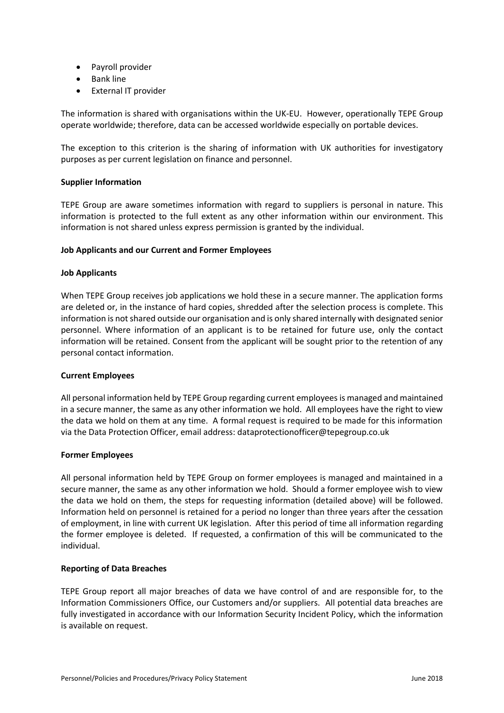- Payroll provider
- Bank line
- External IT provider

The information is shared with organisations within the UK-EU. However, operationally TEPE Group operate worldwide; therefore, data can be accessed worldwide especially on portable devices.

The exception to this criterion is the sharing of information with UK authorities for investigatory purposes as per current legislation on finance and personnel.

# **Supplier Information**

TEPE Group are aware sometimes information with regard to suppliers is personal in nature. This information is protected to the full extent as any other information within our environment. This information is not shared unless express permission is granted by the individual.

### **Job Applicants and our Current and Former Employees**

### **Job Applicants**

When TEPE Group receives job applications we hold these in a secure manner. The application forms are deleted or, in the instance of hard copies, shredded after the selection process is complete. This information is not shared outside our organisation and is only shared internally with designated senior personnel. Where information of an applicant is to be retained for future use, only the contact information will be retained. Consent from the applicant will be sought prior to the retention of any personal contact information.

# **Current Employees**

All personal information held by TEPE Group regarding current employees is managed and maintained in a secure manner, the same as any other information we hold. All employees have the right to view the data we hold on them at any time. A formal request is required to be made for this information via the Data Protection Officer, email address: dataprotectionofficer@tepegroup.co.uk

#### **Former Employees**

All personal information held by TEPE Group on former employees is managed and maintained in a secure manner, the same as any other information we hold. Should a former employee wish to view the data we hold on them, the steps for requesting information (detailed above) will be followed. Information held on personnel is retained for a period no longer than three years after the cessation of employment, in line with current UK legislation. After this period of time all information regarding the former employee is deleted. If requested, a confirmation of this will be communicated to the individual.

# **Reporting of Data Breaches**

TEPE Group report all major breaches of data we have control of and are responsible for, to the Information Commissioners Office, our Customers and/or suppliers. All potential data breaches are fully investigated in accordance with our Information Security Incident Policy, which the information is available on request.